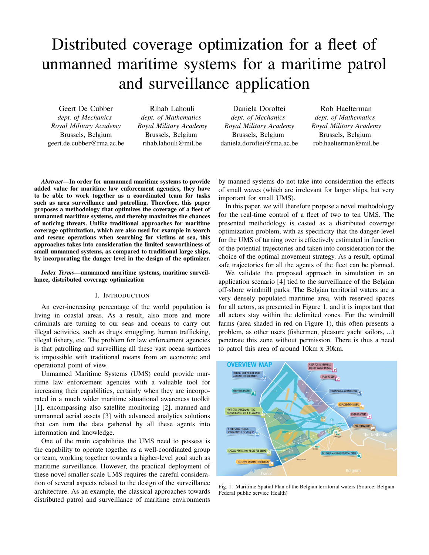# Distributed coverage optimization for a fleet of unmanned maritime systems for a maritime patrol and surveillance application

Geert De Cubber *dept. of Mechanics Royal Military Academy* Brussels, Belgium geert.de.cubber@rma.ac.be

Rihab Lahouli *dept. of Mathematics Royal Military Academy* Brussels, Belgium rihab.lahouli@mil.be

Daniela Doroftei *dept. of Mechanics Royal Military Academy* Brussels, Belgium daniela.doroftei@rma.ac.be

Rob Haelterman *dept. of Mathematics Royal Military Academy* Brussels, Belgium rob.haelterman@mil.be

*Abstract*—In order for unmanned maritime systems to provide added value for maritime law enforcement agencies, they have to be able to work together as a coordinated team for tasks such as area surveillance and patrolling. Therefore, this paper proposes a methodology that optimizes the coverage of a fleet of unmanned maritime systems, and thereby maximizes the chances of noticing threats. Unlike traditional approaches for maritime coverage optimization, which are also used for example in search and rescue operations when searching for victims at sea, this approaches takes into consideration the limited seaworthiness of small unmanned systems, as compared to traditional large ships, by incorporating the danger level in the design of the optimizer.

*Index Terms*—unmanned maritime systems, maritime surveillance, distributed coverage optimization

## I. INTRODUCTION

An ever-increasing percentage of the world population is living in coastal areas. As a result, also more and more criminals are turning to our seas and oceans to carry out illegal activities, such as drugs smuggling, human trafficking, illegal fishery, etc. The problem for law enforcement agencies is that patrolling and surveilling all these vast ocean surfaces is impossible with traditional means from an economic and operational point of view.

Unmanned Maritime Systems (UMS) could provide maritime law enforcement agencies with a valuable tool for increasing their capabilities, certainly when they are incorporated in a much wider maritime situational awareness toolkit [1], encompassing also satellite monitoring [2], manned and unmanned aerial assets [3] with advanced analytics solutions that can turn the data gathered by all these agents into information and knowledge.

One of the main capabilities the UMS need to possess is the capability to operate together as a well-coordinated group or team, working together towards a higher-level goal such as maritime surveillance. However, the practical deployment of these novel smaller-scale UMS requires the careful consideration of several aspects related to the design of the surveillance architecture. As an example, the classical approaches towards distributed patrol and surveillance of maritime environments

by manned systems do not take into consideration the effects of small waves (which are irrelevant for larger ships, but very important for small UMS).

In this paper, we will therefore propose a novel methodology for the real-time control of a fleet of two to ten UMS. The presented methodology is casted as a distributed coverage optimization problem, with as specificity that the danger-level for the UMS of turning over is effectively estimated in function of the potential trajectories and taken into consideration for the choice of the optimal movement strategy. As a result, optimal safe trajectories for all the agents of the fleet can be planned.

We validate the proposed approach in simulation in an application scenario [4] tied to the surveillance of the Belgian off-shore windmill parks. The Belgian territorial waters are a very densely populated maritime area, with reserved spaces for all actors, as presented in Figure 1, and it is important that all actors stay within the delimited zones. For the windmill farms (area shaded in red on Figure 1), this often presents a problem, as other users (fishermen, pleasure yacht sailors, ...) penetrate this zone without permission. There is thus a need to patrol this area of around 10km x 30km.



Fig. 1. Maritime Spatial Plan of the Belgian territorial waters (Source: Belgian Federal public service Health)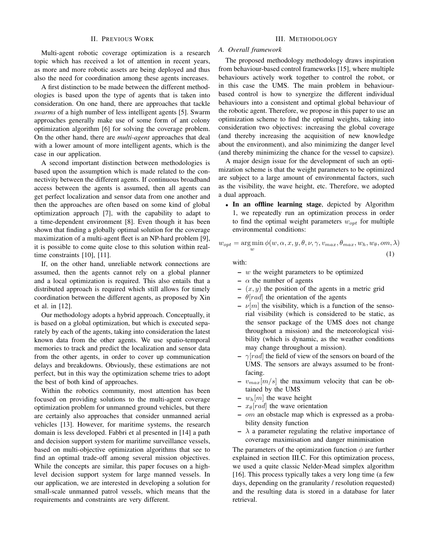## II. PREVIOUS WORK

Multi-agent robotic coverage optimization is a research topic which has received a lot of attention in recent years, as more and more robotic assets are being deployed and thus also the need for coordination among these agents increases.

A first distinction to be made between the different methodologies is based upon the type of agents that is taken into consideration. On one hand, there are approaches that tackle *swarms* of a high number of less intelligent agents [5]. Swarm approaches generally make use of some form of ant colony optimization algorithm [6] for solving the coverage problem. On the other hand, there are *multi-agent* approaches that deal with a lower amount of more intelligent agents, which is the case in our application.

A second important distinction between methodologies is based upon the assumption which is made related to the connectivity between the different agents. If continuous broadband access between the agents is assumed, then all agents can get perfect localization and sensor data from one another and then the approaches are often based on some kind of global optimization approach [7], with the capability to adapt to a time-dependent environment [8]. Even though it has been shown that finding a globally optimal solution for the coverage maximization of a multi-agent fleet is an NP-hard problem [9], it is possible to come quite close to this solution within realtime constraints [10], [11].

If, on the other hand, unreliable network connections are assumed, then the agents cannot rely on a global planner and a local optimization is required. This also entails that a distributed approach is required which still allows for timely coordination between the different agents, as proposed by Xin et al. in [12].

Our methodology adopts a hybrid approach. Conceptually, it is based on a global optimization, but which is executed separately by each of the agents, taking into consideration the latest known data from the other agents. We use spatio-temporal memories to track and predict the localization and sensor data from the other agents, in order to cover up communication delays and breakdowns. Obviously, these estimations are not perfect, but in this way the optimization scheme tries to adopt the best of both kind of approaches.

Within the robotics community, most attention has been focused on providing solutions to the multi-agent coverage optimization problem for unmanned ground vehicles, but there are certainly also approaches that consider unmanned aerial vehicles [13]. However, for maritime systems, the research domain is less developed. Fabbri et al presented in [14] a path and decision support system for maritime surveillance vessels, based on multi-objective optimization algorithms that see to find an optimal trade-off among several mission objectives. While the concepts are similar, this paper focuses on a highlevel decision support system for large manned vessels. In our application, we are interested in developing a solution for small-scale unmanned patrol vessels, which means that the requirements and constraints are very different.

## III. METHODOLOGY

# *A. Overall framework*

The proposed methodology methodology draws inspiration from behaviour-based control frameworks [15], where multiple behaviours actively work together to control the robot, or in this case the UMS. The main problem in behaviourbased control is how to synergize the different individual behaviours into a consistent and optimal global behaviour of the robotic agent. Therefore, we propose in this paper to use an optimization scheme to find the optimal weights, taking into consideration two objectives: increasing the global coverage (and thereby increasing the acquisition of new knowledge about the environment), and also minimizing the danger level (and thereby minimizing the chance for the vessel to capsize).

A major design issue for the development of such an optimization scheme is that the weight parameters to be optimized are subject to a large amount of environmental factors, such as the visibility, the wave height, etc. Therefore, we adopted a dual approach.

• In an offline learning stage, depicted by Algorithm 1, we repeatedly run an optimization process in order to find the optimal weight parameters  $w<sub>ont</sub>$  for multiple environmental conditions:

$$
w_{opt} = \underset{w}{\arg\min} \phi(w, \alpha, x, y, \theta, \nu, \gamma, v_{max}, \theta_{max}, w_h, w_\theta, om, \lambda)
$$
\n(1)

with:

- $w$  the weight parameters to be optimized
- $\alpha$  the number of agents
- $(x, y)$  the position of the agents in a metric grid
- $\theta$ [rad] the orientation of the agents
- $\nu[m]$  the visibility, which is a function of the sensorial visibility (which is considered to be static, as the sensor package of the UMS does not change throughout a mission) and the meteorological visibility (which is dynamic, as the weather conditions may change throughout a mission).
- $-$  γ[rad] the field of view of the sensors on board of the UMS. The sensors are always assumed to be frontfacing.
- $v_{max}[m/s]$  the maximum velocity that can be obtained by the UMS
- $w_h[m]$  the wave height
- $x_{\theta}[rad]$  the wave orientation
- om an obstacle map which is expressed as a probability density function
- $\lambda$  a parameter regulating the relative importance of coverage maximisation and danger minimisation

The parameters of the optimization function  $\phi$  are further explained in section III.C. For this optimization process, we used a quite classic Nelder-Mead simplex algorithm [16]. This process typically takes a very long time (a few days, depending on the granularity / resolution requested) and the resulting data is stored in a database for later retrieval.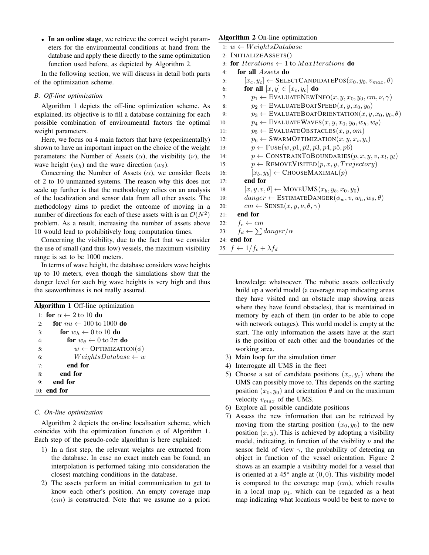• In an online stage, we retrieve the correct weight parameters for the environmental conditions at hand from the database and apply these directly to the same optimization function used before, as depicted by Algorithm 2.

In the following section, we will discuss in detail both parts of the optimization scheme.

## *B. Off-line optimization*

Algorithm 1 depicts the off-line optimization scheme. As explained, its objective is to fill a database containing for each possible combination of environmental factors the optimal weight parameters.

Here, we focus on 4 main factors that have (experimentally) shown to have an important impact on the choice of the weight parameters: the Number of Assets ( $\alpha$ ), the visibility ( $\nu$ ), the wave height  $(w_h)$  and the wave direction  $(w_\theta)$ .

Concerning the Number of Assets  $(\alpha)$ , we consider fleets of 2 to 10 unmanned systems. The reason why this does not scale up further is that the methodology relies on an analysis of the localization and sensor data from all other assets. The methodology aims to predict the outcome of moving in a number of directions for each of these assets with is an  $\mathcal{O}(N^2)$ problem. As a result, increasing the number of assets above 10 would lead to prohibitively long computation times.

Concerning the visibility, due to the fact that we consider the use of small (and thus low) vessels, the maximum visibility range is set to be 1000 meters.

In terms of wave height, the database considers wave heights up to 10 meters, even though the simulations show that the danger level for such big wave heights is very high and thus the seaworthiness is not really assured.

| Algorithm 1 Off-line optimization |                                            |
|-----------------------------------|--------------------------------------------|
|                                   | 1: for $\alpha \leftarrow 2$ to 10 do      |
| 2:                                | for $nu \leftarrow 100$ to 1000 do         |
| 3:                                | for $w_h \leftarrow 0$ to 10 do            |
| 4:                                | for $w_{\theta} \leftarrow 0$ to $2\pi$ do |
| 5:                                | $w \leftarrow \text{OPTIMIZATION}(\phi)$   |
| 6:                                | $Weights Data base \leftarrow w$           |
| 7:                                | end for                                    |
| 8:                                | end for                                    |
| 9:                                | end for                                    |
|                                   | $10:$ end for                              |

# *C. On-line optimization*

Algorithm 2 depicts the on-line localisation scheme, which coincides with the optimization function  $\phi$  of Algorithm 1. Each step of the pseudo-code algorithm is here explained:

- 1) In a first step, the relevant weights are extracted from the database. In case no exact match can be found, an interpolation is performed taking into consideration the closest matching conditions in the database.
- 2) The assets perform an initial communication to get to know each other's position. An empty coverage map (cm) is constructed. Note that we assume no a priori

# Algorithm 2 On-line optimization

- 1:  $w \leftarrow WeightsDatabase$
- 2: INITIALIZEASSETS()
- 3: for Iterations  $\leftarrow$  1 to MaxIterations do
- 4: for all Assets do
- 5:  $[x_c, y_c] \leftarrow$  SELECTCANDIDATEPOS $(x_0, y_0, v_{max}, \theta)$
- 6: **for all**  $[x, y] \in [x_c, y_c]$  **do** 7:  $p_1 \leftarrow \text{EVALUATENEWINFO}(x, y, x_0, y_0, cm, \nu, \gamma)$ 8:  $p_2 \leftarrow$  EVALUATEBOATSPEED $(x, y, x_0, y_0)$
- 9:  $p_3 \leftarrow$  EVALUATEBOATORIENTATION $(x, y, x_0, y_0, \theta)$
- 10:  $p_4 \leftarrow \text{EVALUATEWAVES}(x, y, x_0, y_0, w_h, w_\theta)$
- 11:  $p_5 \leftarrow \text{EVALUATEOBSTACLES}(x, y, om)$ 12:  $p_6 \leftarrow \text{SWARMOPTIMIZATION}(x, y, x_i, y_i)$
- 13:  $p \leftarrow \text{FUSE}(w, p1, p2, p3, p4, p5, p6)$
- 14:  $p \leftarrow \text{CONSTRAINTOBOUNDARIES}(p, x, y, v, x_l, y_l)$
- 15:  $p \leftarrow$  REMOVEVISITED $(p, x, y, Trajectory)$
- 16:  $[x_b, y_b] \leftarrow \text{CHOOSEMAXIMAL}(p)$

17: end for

- 18:  $[x, y, v, \theta] \leftarrow \text{MoveUMS}(x_b, y_b, x_0, y_0)$
- 19:  $danger \leftarrow \text{ESTIMATEDANGER}(\phi_w, v, w_h, w_\theta, \theta)$
- 20:  $cm \leftarrow$  SENSE $(x, y, \nu, \theta, \gamma)$

21: end for

- 22:  $f_c \leftarrow \overline{cm}$
- 23:  $f_d \leftarrow \sum danger/\alpha$

24: end for 25:  $f \leftarrow 1/f_c + \lambda f_d$ 

- knowledge whatsoever. The robotic assets collectively build up a world model (a coverage map indicating areas they have visited and an obstacle map showing areas where they have found obstacles), that is maintained in memory by each of them (in order to be able to cope with network outages). This world model is empty at the start. The only information the assets have at the start is the position of each other and the boundaries of the working area.
- 3) Main loop for the simulation timer
- 4) Interrogate all UMS in the fleet
- 5) Choose a set of candidate positions  $(x_c, y_c)$  where the UMS can possibly move to. This depends on the starting position  $(x_0, y_0)$  and orientation  $\theta$  and on the maximum velocity  $v_{max}$  of the UMS.
- 6) Explore all possible candidate positions
- 7) Assess the new information that can be retrieved by moving from the starting position  $(x_0, y_0)$  to the new position  $(x, y)$ . This is achieved by adopting a visibility model, indicating, in function of the visibility  $\nu$  and the sensor field of view  $\gamma$ , the probability of detecting an object in function of the vessel orientation. Figure 2 shows as an example a visibility model for a vessel that is oriented at a  $45^{\circ}$  angle at  $(0, 0)$ . This visibility model is compared to the coverage map  $(cm)$ , which results in a local map  $p_1$ , which can be regarded as a heat map indicating what locations would be best to move to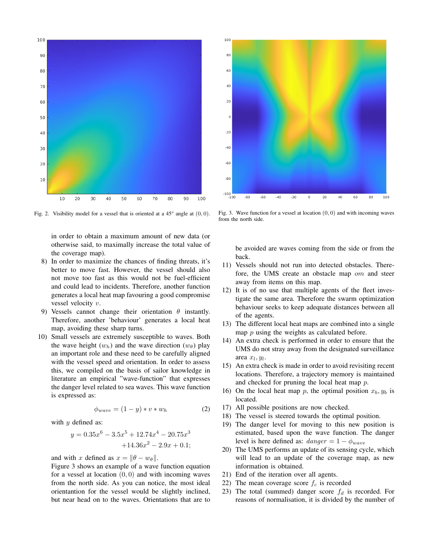



Fig. 2. Visibility model for a vessel that is oriented at a  $45^{\circ}$  angle at  $(0, 0)$ .

in order to obtain a maximum amount of new data (or otherwise said, to maximally increase the total value of the coverage map).

- 8) In order to maximize the chances of finding threats, it's better to move fast. However, the vessel should also not move too fast as this would not be fuel-efficient and could lead to incidents. Therefore, another function generates a local heat map favouring a good compromise vessel velocity v.
- 9) Vessels cannot change their orientation  $\theta$  instantly. Therefore, another 'behaviour' generates a local heat map, avoiding these sharp turns.
- 10) Small vessels are extremely susceptible to waves. Both the wave height  $(w_h)$  and the wave direction  $(w_\theta)$  play an important role and these need to be carefully aligned with the vessel speed and orientation. In order to assess this, we compiled on the basis of sailor knowledge in literature an empirical "wave-function" that expresses the danger level related to sea waves. This wave function is expressed as:

$$
\phi_{wave} = (1 - y) * v * w_h \tag{2}
$$

with  $y$  defined as:

$$
y = 0.35x^{6} - 3.5x^{5} + 12.74x^{4} - 20.75x^{3}
$$

$$
+14.36x^{2} - 2.9x + 0.1;
$$

and with x defined as  $x = ||\theta - w_{\theta}||$ .

Figure 3 shows an example of a wave function equation for a vessel at location  $(0, 0)$  and with incoming waves from the north side. As you can notice, the most ideal orientantion for the vessel would be slightly inclined, but near head on to the waves. Orientations that are to

Fig. 3. Wave function for a vessel at location  $(0, 0)$  and with incoming waves from the north side.

be avoided are waves coming from the side or from the back.

- 11) Vessels should not run into detected obstacles. Therefore, the UMS create an obstacle map *om* and steer away from items on this map.
- 12) It is of no use that multiple agents of the fleet investigate the same area. Therefore the swarm optimization behaviour seeks to keep adequate distances between all of the agents.
- 13) The different local heat maps are combined into a single map p using the weights as calculated before.
- 14) An extra check is performed in order to ensure that the UMS do not stray away from the designated surveillance area  $x_l, y_l$ .
- 15) An extra check is made in order to avoid revisiting recent locations. Therefore, a trajectory memory is maintained and checked for pruning the local heat map  $p$ .
- 16) On the local heat map p, the optimal position  $x_b, y_b$  is located.
- 17) All possible positions are now checked.
- 18) The vessel is steered towards the optimal position.
- 19) The danger level for moving to this new position is estimated, based upon the wave function. The danger level is here defined as:  $danger = 1 - \phi_{wave}$
- 20) The UMS performs an update of its sensing cycle, which will lead to an update of the coverage map, as new information is obtained.
- 21) End of the iteration over all agents.
- 22) The mean coverage score  $f_c$  is recorded
- 23) The total (summed) danger score  $f_d$  is recorded. For reasons of normalisation, it is divided by the number of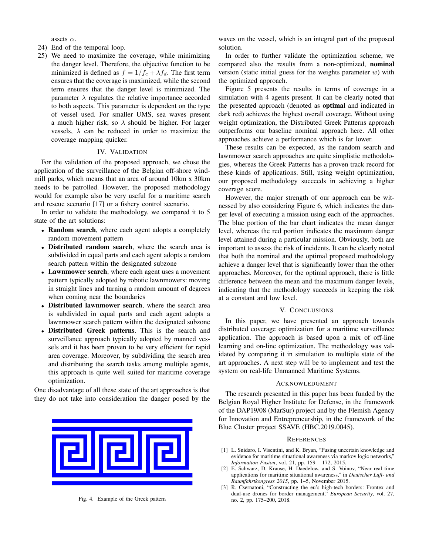assets  $\alpha$ .

- 24) End of the temporal loop.
- 25) We need to maximize the coverage, while minimizing the danger level. Therefore, the objective function to be minimized is defined as  $f = 1/f_c + \lambda f_d$ . The first term ensures that the coverage is maximized, while the second term ensures that the danger level is minimized. The parameter  $\lambda$  regulates the relative importance accorded to both aspects. This parameter is dependent on the type of vessel used. For smaller UMS, sea waves present a much higher risk, so  $\lambda$  should be higher. For larger vessels,  $\lambda$  can be reduced in order to maximize the coverage mapping quicker.

# IV. VALIDATION

For the validation of the proposed approach, we chose the application of the surveillance of the Belgian off-shore windmill parks, which means that an area of around 10km x 30km needs to be patrolled. However, the proposed methodology would for example also be very useful for a maritime search and rescue scenario [17] or a fishery control scenario.

In order to validate the methodology, we compared it to 5 state of the art solutions:

- Random search, where each agent adopts a completely random movement pattern
- Distributed random search, where the search area is subdivided in equal parts and each agent adopts a random search pattern within the designated subzone
- Lawnmower search, where each agent uses a movement pattern typically adopted by robotic lawnmowers: moving in straight lines and turning a random amount of degrees when coming near the boundaries
- Distributed lawnmower search, where the search area is subdivided in equal parts and each agent adopts a lawnmower search pattern within the designated subzone
- Distributed Greek patterns. This is the search and surveillance approach typically adopted by manned vessels and it has been proven to be very efficient for rapid area coverage. Moreover, by subdividing the search area and distributing the search tasks among multiple agents, this approach is quite well suited for maritime coverage optimization.

One disadvantage of all these state of the art approaches is that they do not take into consideration the danger posed by the



Fig. 4. Example of the Greek pattern

waves on the vessel, which is an integral part of the proposed solution.

In order to further validate the optimization scheme, we compared also the results from a non-optimized, nominal version (static initial guess for the weights parameter  $w$ ) with the optimized approach.

Figure 5 presents the results in terms of coverage in a simulation with 4 agents present. It can be clearly noted that the presented approach (denoted as optimal and indicated in dark red) achieves the highest overall coverage. Without using weight optimization, the Distributed Greek Patterns approach outperforms our baseline nominal approach here. All other approaches achieve a performance which is far lower.

These results can be expected, as the random search and lawnmower search approaches are quite simplistic methodologies, whereas the Greek Patterns has a proven track record for these kinds of applications. Still, using weight optimization, our proposed methodology succeeds in achieving a higher coverage score.

However, the major strength of our approach can be witnessed by also considering Figure 6, which indicates the danger level of executing a mission using each of the approaches. The blue portion of the bar chart indicates the mean danger level, whereas the red portion indicates the maximum danger level attained during a particular mission. Obviously, both are important to assess the risk of incidents. It can be clearly noted that both the nominal and the optimal proposed methodology achieve a danger level that is significantly lower than the other approaches. Moreover, for the optimal approach, there is little difference between the mean and the maximum danger levels, indicating that the methodology succeeds in keeping the risk at a constant and low level.

#### V. CONCLUSIONS

In this paper, we have presented an approach towards distributed coverage optimization for a maritime surveillance application. The approach is based upon a mix of off-line learning and on-line optimization. The methodology was validated by comparing it in simulation to multiple state of the art approaches. A next step will be to implement and test the system on real-life Unmanned Maritime Systems.

#### ACKNOWLEDGMENT

The research presented in this paper has been funded by the Belgian Royal Higher Institute for Defense, in the framework of the DAP19/08 (MarSur) project and by the Flemish Agency for Innovation and Entrepreneurship, in the framework of the Blue Cluster project SSAVE (HBC.2019.0045).

### **REFERENCES**

- [1] L. Snidaro, I. Visentini, and K. Bryan, "Fusing uncertain knowledge and evidence for maritime situational awareness via markov logic networks," *Information Fusion*, vol. 21, pp. 159 – 172, 2015.
- [2] E. Schwarz, D. Krause, H. Daedelow, and S. Voinov, "Near real time applications for maritime situational awareness," in *Deutscher Luft- und Raumfahrtkongress 2015*, pp. 1–5, November 2015.
- [3] R. Csernatoni, "Constructing the eu's high-tech borders: Frontex and dual-use drones for border management," *European Security*, vol. 27, no. 2, pp. 175–200, 2018.